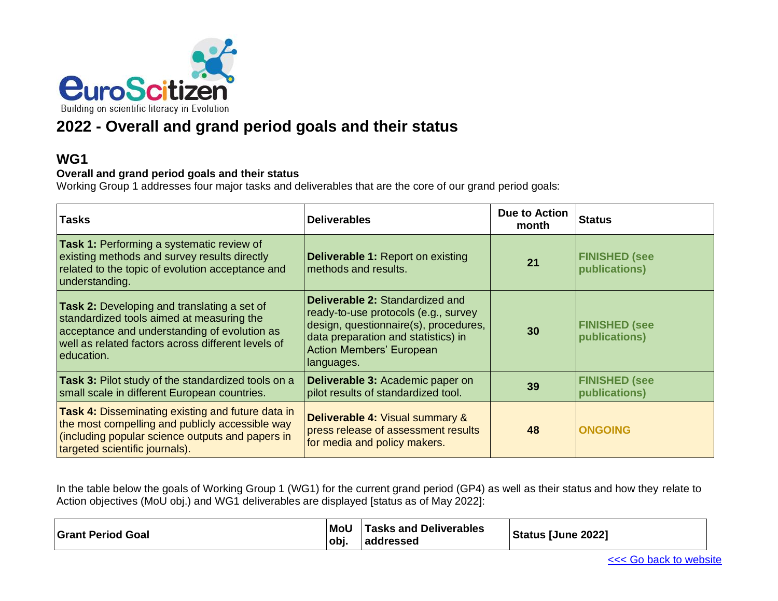

# **2022 - Overall and grand period goals and their status**

#### **WG1**

#### **Overall and grand period goals and their status**

Working Group 1 addresses four major tasks and deliverables that are the core of our grand period goals:

| <b>Tasks</b>                                                                                                                                                                                                        | <b>Deliverables</b>                                                                                                                                                                                             | Due to Action<br>month | <b>Status</b>                         |
|---------------------------------------------------------------------------------------------------------------------------------------------------------------------------------------------------------------------|-----------------------------------------------------------------------------------------------------------------------------------------------------------------------------------------------------------------|------------------------|---------------------------------------|
| <b>Task 1: Performing a systematic review of</b><br>existing methods and survey results directly<br>related to the topic of evolution acceptance and<br>understanding.                                              | <b>Deliverable 1: Report on existing</b><br>methods and results.                                                                                                                                                | 21                     | <b>FINISHED (see</b><br>publications) |
| <b>Task 2:</b> Developing and translating a set of<br>standardized tools aimed at measuring the<br>acceptance and understanding of evolution as<br>well as related factors across different levels of<br>education. | <b>Deliverable 2: Standardized and</b><br>ready-to-use protocols (e.g., survey<br>design, questionnaire(s), procedures,<br>data preparation and statistics) in<br><b>Action Members' European</b><br>languages. | 30                     | <b>FINISHED (see</b><br>publications) |
| Task 3: Pilot study of the standardized tools on a<br>small scale in different European countries.                                                                                                                  | Deliverable 3: Academic paper on<br>pilot results of standardized tool.                                                                                                                                         | 39                     | <b>FINISHED (see</b><br>publications) |
| <b>Task 4: Disseminating existing and future data in</b><br>the most compelling and publicly accessible way<br>(including popular science outputs and papers in<br>targeted scientific journals).                   | <b>Deliverable 4: Visual summary &amp;</b><br>press release of assessment results<br>for media and policy makers.                                                                                               | 48                     | <b>ONGOING</b>                        |

In the table below the goals of Working Group 1 (WG1) for the current grand period (GP4) as well as their status and how they relate to Action objectives (MoU obj.) and WG1 deliverables are displayed [status as of May 2022]:

| <b>Grant Period Goal</b> | l MoU<br>∣obi. | <b>Tasks and Deliverables</b><br> addressed | Status [June 2022] |
|--------------------------|----------------|---------------------------------------------|--------------------|
|--------------------------|----------------|---------------------------------------------|--------------------|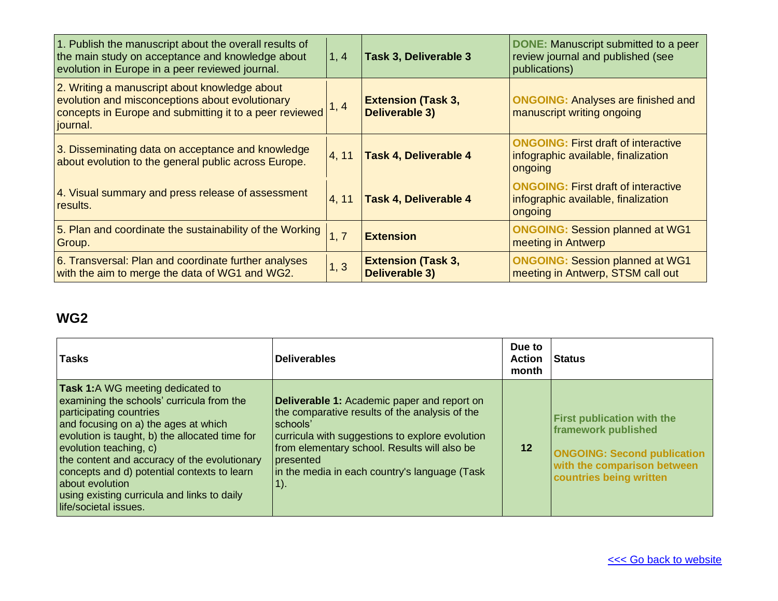| 1. Publish the manuscript about the overall results of<br>the main study on acceptance and knowledge about<br>evolution in Europe in a peer reviewed journal.           | 1, 4  | Task 3, Deliverable 3                              | <b>DONE:</b> Manuscript submitted to a peer<br>review journal and published (see<br>publications) |
|-------------------------------------------------------------------------------------------------------------------------------------------------------------------------|-------|----------------------------------------------------|---------------------------------------------------------------------------------------------------|
| 2. Writing a manuscript about knowledge about<br>evolution and misconceptions about evolutionary<br>concepts in Europe and submitting it to a peer reviewed<br>journal. | 1, 4  | <b>Extension (Task 3,</b><br><b>Deliverable 3)</b> | <b>ONGOING: Analyses are finished and</b><br>manuscript writing ongoing                           |
| 3. Disseminating data on acceptance and knowledge<br>about evolution to the general public across Europe.                                                               | 4, 11 | <b>Task 4, Deliverable 4</b>                       | <b>ONGOING: First draft of interactive</b><br>infographic available, finalization<br>ongoing      |
| 4. Visual summary and press release of assessment<br>results.                                                                                                           | 4, 11 | <b>Task 4, Deliverable 4</b>                       | <b>ONGOING: First draft of interactive</b><br>infographic available, finalization<br>ongoing      |
| 5. Plan and coordinate the sustainability of the Working<br>Group.                                                                                                      | 1, 7  | <b>Extension</b>                                   | <b>ONGOING: Session planned at WG1</b><br>meeting in Antwerp                                      |
| 6. Transversal: Plan and coordinate further analyses<br>with the aim to merge the data of WG1 and WG2.                                                                  | 1, 3  | <b>Extension (Task 3,</b><br><b>Deliverable 3)</b> | <b>ONGOING: Session planned at WG1</b><br>meeting in Antwerp, STSM call out                       |

| <b>Tasks</b>                                                                                                                                                                                                                                                                                                                                                                                                                   | <b>Deliverables</b>                                                                                                                                                                                                                                                                      | Due to<br><b>Action</b><br>month | l Status                                                                                                                                                 |
|--------------------------------------------------------------------------------------------------------------------------------------------------------------------------------------------------------------------------------------------------------------------------------------------------------------------------------------------------------------------------------------------------------------------------------|------------------------------------------------------------------------------------------------------------------------------------------------------------------------------------------------------------------------------------------------------------------------------------------|----------------------------------|----------------------------------------------------------------------------------------------------------------------------------------------------------|
| <b>Task 1:</b> A WG meeting dedicated to<br>examining the schools' curricula from the<br>participating countries<br>and focusing on a) the ages at which<br>evolution is taught, b) the allocated time for<br>evolution teaching, c)<br>the content and accuracy of the evolutionary<br>concepts and d) potential contexts to learn<br>about evolution<br>using existing curricula and links to daily<br>life/societal issues. | <b>Deliverable 1:</b> Academic paper and report on<br>the comparative results of the analysis of the<br>schools'<br>curricula with suggestions to explore evolution<br>from elementary school. Results will also be<br>presented<br>in the media in each country's language (Task<br>1). | 12                               | <b>First publication with the</b><br>framework published<br><b>ONGOING: Second publication</b><br>with the comparison between<br>countries being written |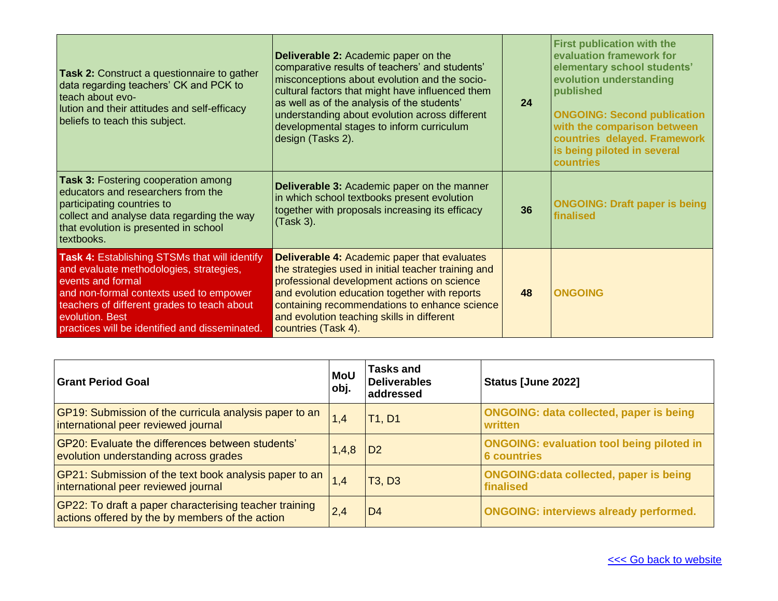| Task 2: Construct a questionnaire to gather<br>data regarding teachers' CK and PCK to<br>teach about evo-<br>lution and their attitudes and self-efficacy<br>beliefs to teach this subject.                                                                                         | <b>Deliverable 2: Academic paper on the</b><br>comparative results of teachers' and students'<br>misconceptions about evolution and the socio-<br>cultural factors that might have influenced them<br>as well as of the analysis of the students'<br>understanding about evolution across different<br>developmental stages to inform curriculum<br>design (Tasks 2). | 24 | <b>First publication with the</b><br>evaluation framework for<br>elementary school students'<br>evolution understanding<br>published<br><b>ONGOING: Second publication</b><br>with the comparison between<br>countries delayed. Framework<br>is being piloted in several<br>countries |
|-------------------------------------------------------------------------------------------------------------------------------------------------------------------------------------------------------------------------------------------------------------------------------------|-----------------------------------------------------------------------------------------------------------------------------------------------------------------------------------------------------------------------------------------------------------------------------------------------------------------------------------------------------------------------|----|---------------------------------------------------------------------------------------------------------------------------------------------------------------------------------------------------------------------------------------------------------------------------------------|
| <b>Task 3: Fostering cooperation among</b><br>educators and researchers from the<br>participating countries to<br>collect and analyse data regarding the way<br>that evolution is presented in school<br>textbooks.                                                                 | <b>Deliverable 3: Academic paper on the manner</b><br>in which school textbooks present evolution<br>together with proposals increasing its efficacy<br>(Task 3).                                                                                                                                                                                                     | 36 | <b>ONGOING: Draft paper is being</b><br>finalised                                                                                                                                                                                                                                     |
| <b>Task 4: Establishing STSMs that will identify</b><br>and evaluate methodologies, strategies,<br>events and formal<br>and non-formal contexts used to empower<br>teachers of different grades to teach about<br>evolution. Best<br>practices will be identified and disseminated. | <b>Deliverable 4: Academic paper that evaluates</b><br>the strategies used in initial teacher training and<br>professional development actions on science<br>and evolution education together with reports<br>containing recommendations to enhance science<br>and evolution teaching skills in different<br>countries (Task 4).                                      | 48 | <b>ONGOING</b>                                                                                                                                                                                                                                                                        |

| Grant Period Goal                                                                                         | <b>MoU</b><br>obj. | <b>Tasks and</b><br><b>Deliverables</b><br>addressed | Status [June 2022]                                                     |
|-----------------------------------------------------------------------------------------------------------|--------------------|------------------------------------------------------|------------------------------------------------------------------------|
| GP19: Submission of the curricula analysis paper to an<br>international peer reviewed journal             | 1,4                | <b>T1, D1</b>                                        | <b>ONGOING: data collected, paper is being</b><br>written              |
| GP20: Evaluate the differences between students'<br>evolution understanding across grades                 | 1,4,8              | D <sub>2</sub>                                       | <b>ONGOING: evaluation tool being piloted in</b><br><b>6 countries</b> |
| GP21: Submission of the text book analysis paper to an<br>international peer reviewed journal             | 1,4                | T <sub>3</sub> , D <sub>3</sub>                      | <b>ONGOING: data collected, paper is being</b><br>finalised            |
| GP22: To draft a paper characterising teacher training<br>actions offered by the by members of the action | 2,4                | D <sub>4</sub>                                       | <b>ONGOING: interviews already performed.</b>                          |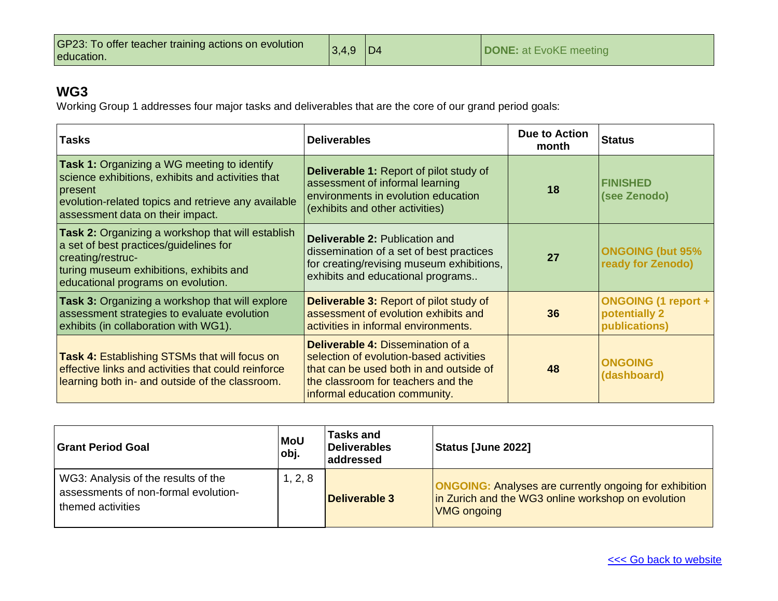| GP23: To offer teacher training actions on evolution<br>education. | $ 3,4,9 $ D4 |  | <b>DONE:</b> at EvoKE meeting |
|--------------------------------------------------------------------|--------------|--|-------------------------------|
|--------------------------------------------------------------------|--------------|--|-------------------------------|

Working Group 1 addresses four major tasks and deliverables that are the core of our grand period goals:

| <b>Tasks</b>                                                                                                                                                                                                  | <b>Deliverables</b>                                                                                                                                                                                   | <b>Due to Action</b><br>month | <b>Status</b>                                                |
|---------------------------------------------------------------------------------------------------------------------------------------------------------------------------------------------------------------|-------------------------------------------------------------------------------------------------------------------------------------------------------------------------------------------------------|-------------------------------|--------------------------------------------------------------|
| <b>Task 1:</b> Organizing a WG meeting to identify<br>science exhibitions, exhibits and activities that<br>present<br>evolution-related topics and retrieve any available<br>assessment data on their impact. | <b>Deliverable 1: Report of pilot study of</b><br>assessment of informal learning<br>environments in evolution education<br>(exhibits and other activities)                                           | 18                            | <b>FINISHED</b><br>(see Zenodo)                              |
| Task 2: Organizing a workshop that will establish<br>a set of best practices/guidelines for<br>creating/restruc-<br>turing museum exhibitions, exhibits and<br>educational programs on evolution.             | <b>Deliverable 2: Publication and</b><br>dissemination of a set of best practices<br>for creating/revising museum exhibitions,<br>exhibits and educational programs                                   | 27                            | <b>ONGOING (but 95%</b><br>ready for Zenodo)                 |
| <b>Task 3: Organizing a workshop that will explore</b><br>assessment strategies to evaluate evolution<br>exhibits (in collaboration with WG1).                                                                | <b>Deliverable 3: Report of pilot study of</b><br>assessment of evolution exhibits and<br>activities in informal environments.                                                                        | 36                            | <b>ONGOING (1 report +</b><br>potentially 2<br>publications) |
| <b>Task 4: Establishing STSMs that will focus on</b><br>effective links and activities that could reinforce<br>learning both in- and outside of the classroom.                                                | <b>Deliverable 4: Dissemination of a</b><br>selection of evolution-based activities<br>that can be used both in and outside of<br>the classroom for teachers and the<br>informal education community. | 48                            | <b>ONGOING</b><br>(dashboard)                                |

| <b>Grant Period Goal</b>                                                                         | <b>MoU</b><br>obj. | <b>Tasks and</b><br><b>Deliverables</b><br>addressed | <b>Status [June 2022]</b>                                                                                                                 |
|--------------------------------------------------------------------------------------------------|--------------------|------------------------------------------------------|-------------------------------------------------------------------------------------------------------------------------------------------|
| WG3: Analysis of the results of the<br>assessments of non-formal evolution-<br>themed activities | 1, 2, 8            | <b>Deliverable 3</b>                                 | <b>ONGOING:</b> Analyses are currently ongoing for exhibition<br>in Zurich and the WG3 online workshop on evolution<br><b>VMG ongoing</b> |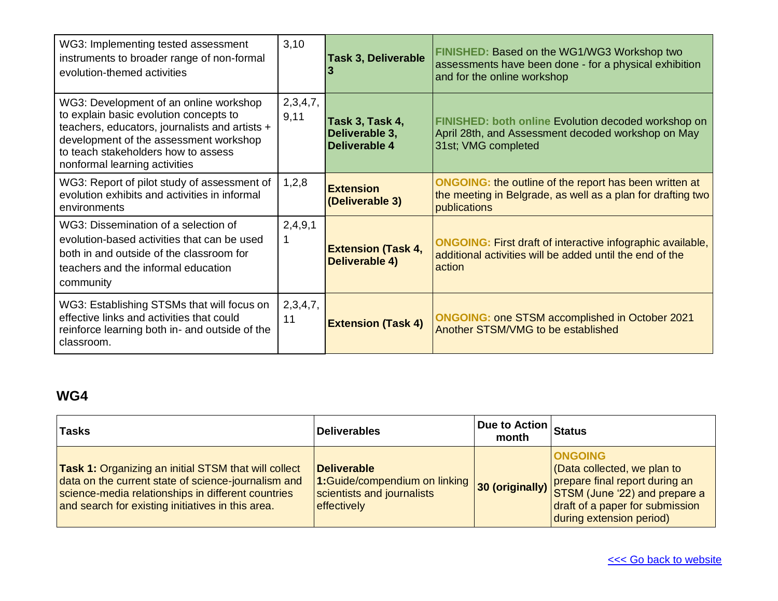| WG3: Implementing tested assessment<br>instruments to broader range of non-formal<br>evolution-themed activities                                                                                                                                     | 3,10                    | <b>Task 3, Deliverable</b>                                | <b>FINISHED: Based on the WG1/WG3 Workshop two</b><br>assessments have been done - for a physical exhibition<br>and for the online workshop  |
|------------------------------------------------------------------------------------------------------------------------------------------------------------------------------------------------------------------------------------------------------|-------------------------|-----------------------------------------------------------|----------------------------------------------------------------------------------------------------------------------------------------------|
| WG3: Development of an online workshop<br>to explain basic evolution concepts to<br>teachers, educators, journalists and artists +<br>development of the assessment workshop<br>to teach stakeholders how to assess<br>nonformal learning activities | 2,3,4,7,<br>9,11        | Task 3, Task 4,<br>Deliverable 3,<br><b>Deliverable 4</b> | FINISHED: both online Evolution decoded workshop on<br>April 28th, and Assessment decoded workshop on May<br>31st; VMG completed             |
| WG3: Report of pilot study of assessment of<br>evolution exhibits and activities in informal<br>environments                                                                                                                                         | 1,2,8                   | <b>Extension</b><br>(Deliverable 3)                       | <b>ONGOING:</b> the outline of the report has been written at<br>the meeting in Belgrade, as well as a plan for drafting two<br>publications |
| WG3: Dissemination of a selection of<br>evolution-based activities that can be used<br>both in and outside of the classroom for<br>teachers and the informal education<br>community                                                                  | 2,4,9,1<br>$\mathbf{1}$ | <b>Extension (Task 4,</b><br>Deliverable 4)               | <b>ONGOING:</b> First draft of interactive infographic available,<br>additional activities will be added until the end of the<br>action      |
| WG3: Establishing STSMs that will focus on<br>effective links and activities that could<br>reinforce learning both in- and outside of the<br>classroom.                                                                                              | 2,3,4,7,<br>11          | <b>Extension (Task 4)</b>                                 | <b>ONGOING: one STSM accomplished in October 2021</b><br>Another STSM/VMG to be established                                                  |

| <b>Tasks</b>                                                                                                                                                                                                                  | <b>Deliverables</b>                                                                              | <b>Due to Action Status</b><br>month |                                                                                                                                                                                                |
|-------------------------------------------------------------------------------------------------------------------------------------------------------------------------------------------------------------------------------|--------------------------------------------------------------------------------------------------|--------------------------------------|------------------------------------------------------------------------------------------------------------------------------------------------------------------------------------------------|
| <b>Task 1:</b> Organizing an initial STSM that will collect<br>data on the current state of science-journalism and<br>science-media relationships in different countries<br>and search for existing initiatives in this area. | <b>Deliverable</b><br>1:Guide/compendium on linking<br>scientists and journalists<br>effectively |                                      | <b>ONGOING</b><br>Cata collected, we plan to<br>30 (originally) prepare final report during an<br>STSM (June '22) and prepare a<br>draft of a paper for submission<br>during extension period) |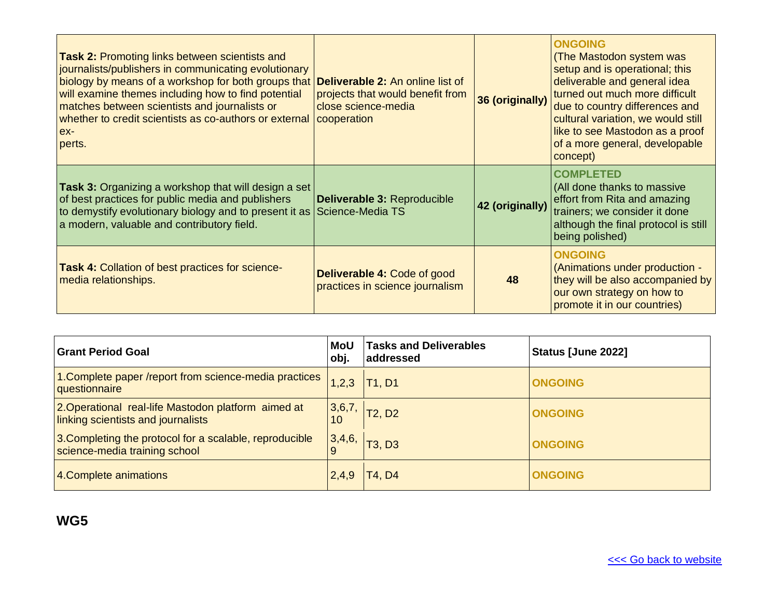| <b>Task 2: Promoting links between scientists and</b><br>journalists/publishers in communicating evolutionary<br>biology by means of a workshop for both groups that <b>Deliverable 2:</b> An online list of<br>will examine themes including how to find potential<br>matches between scientists and journalists or<br>whether to credit scientists as co-authors or external<br>ex-<br>perts. | projects that would benefit from<br>close science-media<br>cooperation | 36 (originally) | <b>ONGOING</b><br>(The Mastodon system was<br>setup and is operational; this<br>deliverable and general idea<br>turned out much more difficult<br>due to country differences and<br>cultural variation, we would still<br>like to see Mastodon as a proof<br>of a more general, developable<br>concept) |
|-------------------------------------------------------------------------------------------------------------------------------------------------------------------------------------------------------------------------------------------------------------------------------------------------------------------------------------------------------------------------------------------------|------------------------------------------------------------------------|-----------------|---------------------------------------------------------------------------------------------------------------------------------------------------------------------------------------------------------------------------------------------------------------------------------------------------------|
| <b>Task 3:</b> Organizing a workshop that will design a set<br>of best practices for public media and publishers<br>to demystify evolutionary biology and to present it as Science-Media TS<br>a modern, valuable and contributory field.                                                                                                                                                       | Deliverable 3: Reproducible                                            | 42 (originally) | <b>COMPLETED</b><br>(All done thanks to massive<br>effort from Rita and amazing<br>trainers; we consider it done<br>although the final protocol is still<br>being polished)                                                                                                                             |
| Task 4: Collation of best practices for science-<br>media relationships.                                                                                                                                                                                                                                                                                                                        | <b>Deliverable 4: Code of good</b><br>practices in science journalism  | 48              | <b>ONGOING</b><br>(Animations under production -<br>they will be also accompanied by<br>our own strategy on how to<br>promote it in our countries)                                                                                                                                                      |

| <b>Grant Period Goal</b>                                                                  | <b>MoU</b><br>obj. | <b>Tasks and Deliverables</b><br>addressed | Status [June 2022] |
|-------------------------------------------------------------------------------------------|--------------------|--------------------------------------------|--------------------|
| 1. Complete paper /report from science-media practices<br>questionnaire                   | 1,2,3              | T1, D1                                     | <b>ONGOING</b>     |
| 2. Operational real-life Mastodon platform aimed at<br>linking scientists and journalists | 3,6,7,<br>10       | T2, D2                                     | <b>ONGOING</b>     |
| 3. Completing the protocol for a scalable, reproducible<br>science-media training school  | 3,4,6,             | <b>T3, D3</b>                              | <b>ONGOING</b>     |
| 4. Complete animations                                                                    | 2,4,9              | T4, D4                                     | <b>ONGOING</b>     |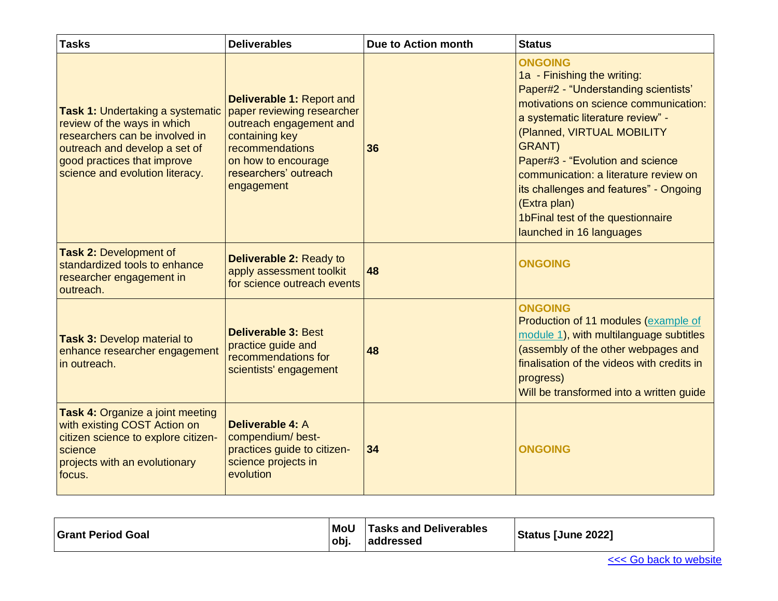| <b>Tasks</b>                                                                                                                                                                                                | <b>Deliverables</b>                                                                                                                                                                          | <b>Due to Action month</b> | <b>Status</b>                                                                                                                                                                                                                                                                                                                                                                                                               |
|-------------------------------------------------------------------------------------------------------------------------------------------------------------------------------------------------------------|----------------------------------------------------------------------------------------------------------------------------------------------------------------------------------------------|----------------------------|-----------------------------------------------------------------------------------------------------------------------------------------------------------------------------------------------------------------------------------------------------------------------------------------------------------------------------------------------------------------------------------------------------------------------------|
| <b>Task 1: Undertaking a systematic</b><br>review of the ways in which<br>researchers can be involved in<br>outreach and develop a set of<br>good practices that improve<br>science and evolution literacy. | <b>Deliverable 1: Report and</b><br>paper reviewing researcher<br>outreach engagement and<br>containing key<br>recommendations<br>on how to encourage<br>researchers' outreach<br>engagement | 36                         | <b>ONGOING</b><br>1a - Finishing the writing:<br>Paper#2 - "Understanding scientists'<br>motivations on science communication:<br>a systematic literature review" -<br>(Planned, VIRTUAL MOBILITY<br><b>GRANT</b> )<br>Paper#3 - "Evolution and science<br>communication: a literature review on<br>its challenges and features" - Ongoing<br>(Extra plan)<br>1bFinal test of the questionnaire<br>launched in 16 languages |
| <b>Task 2: Development of</b><br>standardized tools to enhance<br>researcher engagement in<br>outreach.                                                                                                     | Deliverable 2: Ready to<br>apply assessment toolkit<br>for science outreach events                                                                                                           | 48                         | <b>ONGOING</b>                                                                                                                                                                                                                                                                                                                                                                                                              |
| <b>Task 3: Develop material to</b><br>enhance researcher engagement<br>in outreach.                                                                                                                         | <b>Deliverable 3: Best</b><br>practice guide and<br>recommendations for<br>scientists' engagement                                                                                            | 48                         | <b>ONGOING</b><br>Production of 11 modules (example of<br>module 1), with multilanguage subtitles<br>(assembly of the other webpages and<br>finalisation of the videos with credits in<br>progress)<br>Will be transformed into a written guide                                                                                                                                                                             |
| <b>Task 4: Organize a joint meeting</b><br>with existing COST Action on<br>citizen science to explore citizen-<br>science<br>projects with an evolutionary<br>focus.                                        | <b>Deliverable 4: A</b><br>compendium/ best-<br>practices guide to citizen-<br>science projects in<br>evolution                                                                              | 34                         | <b>ONGOING</b>                                                                                                                                                                                                                                                                                                                                                                                                              |

| <b>Grant Period Goal</b> | <b>MoU</b><br>obj. | <b>Tasks and Deliverables</b><br>addressed | <b>Status [June 2022]</b> |
|--------------------------|--------------------|--------------------------------------------|---------------------------|
|--------------------------|--------------------|--------------------------------------------|---------------------------|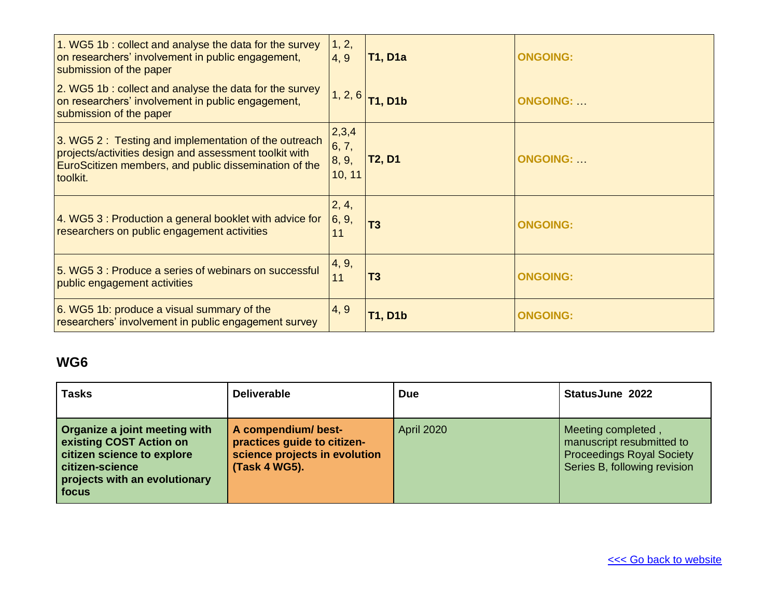| 1. WG5 1b : collect and analyse the data for the survey<br>on researchers' involvement in public engagement,<br>submission of the paper                                             | 1, 2,<br>4, 9                     | <b>T1, D1a</b> | <b>ONGOING:</b> |
|-------------------------------------------------------------------------------------------------------------------------------------------------------------------------------------|-----------------------------------|----------------|-----------------|
| 2. WG5 1b : collect and analyse the data for the survey<br>on researchers' involvement in public engagement,<br>submission of the paper                                             | 1, 2, 6                           | <b>T1, D1b</b> | <b>ONGOING:</b> |
| 3. WG5 2: Testing and implementation of the outreach<br>projects/activities design and assessment toolkit with<br>EuroScitizen members, and public dissemination of the<br>toolkit. | 2,3,4<br>6, 7,<br>8, 9,<br>10, 11 | <b>T2, D1</b>  | <b>ONGOING:</b> |
| $\vert$ 4. WG5 3 : Production a general booklet with advice for<br>researchers on public engagement activities                                                                      | 2, 4,<br>6, 9,<br>11              | T <sub>3</sub> | <b>ONGOING:</b> |
| 5. WG5 3: Produce a series of webinars on successful<br>public engagement activities                                                                                                | 4, 9,<br>11                       | T <sub>3</sub> | <b>ONGOING:</b> |
| 6. WG5 1b: produce a visual summary of the<br>researchers' involvement in public engagement survey                                                                                  | 4, 9                              | <b>T1, D1b</b> | <b>ONGOING:</b> |

| <b>Tasks</b>                                                                                                                                        | <b>Deliverable</b>                                                                                   | <b>Due</b>        | <b>StatusJune 2022</b>                                                                                              |
|-----------------------------------------------------------------------------------------------------------------------------------------------------|------------------------------------------------------------------------------------------------------|-------------------|---------------------------------------------------------------------------------------------------------------------|
| Organize a joint meeting with<br>existing COST Action on<br>citizen science to explore<br>citizen-science<br>projects with an evolutionary<br>focus | A compendium/ best-<br>practices guide to citizen-<br>science projects in evolution<br>(Task 4 WG5). | <b>April 2020</b> | Meeting completed,<br>manuscript resubmitted to<br><b>Proceedings Royal Society</b><br>Series B, following revision |